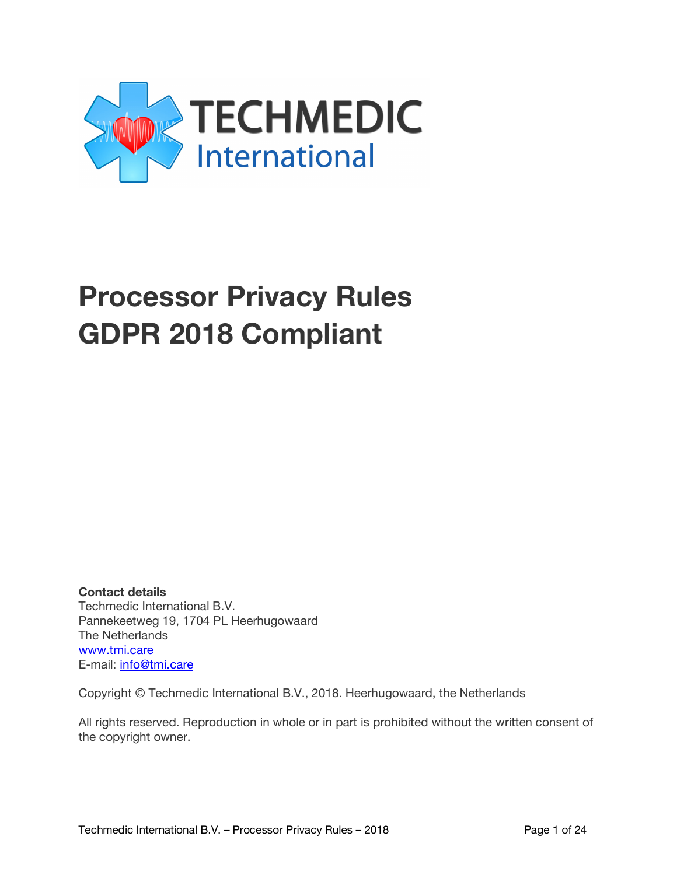

# **Processor Privacy Rules GDPR 2018 Compliant**

**Contact details**  Techmedic International B.V. Pannekeetweg 19, 1704 PL Heerhugowaard The Netherlands www.tmi.care E-mail: info@tmi.care

Copyright © Techmedic International B.V., 2018. Heerhugowaard, the Netherlands

All rights reserved. Reproduction in whole or in part is prohibited without the written consent of the copyright owner.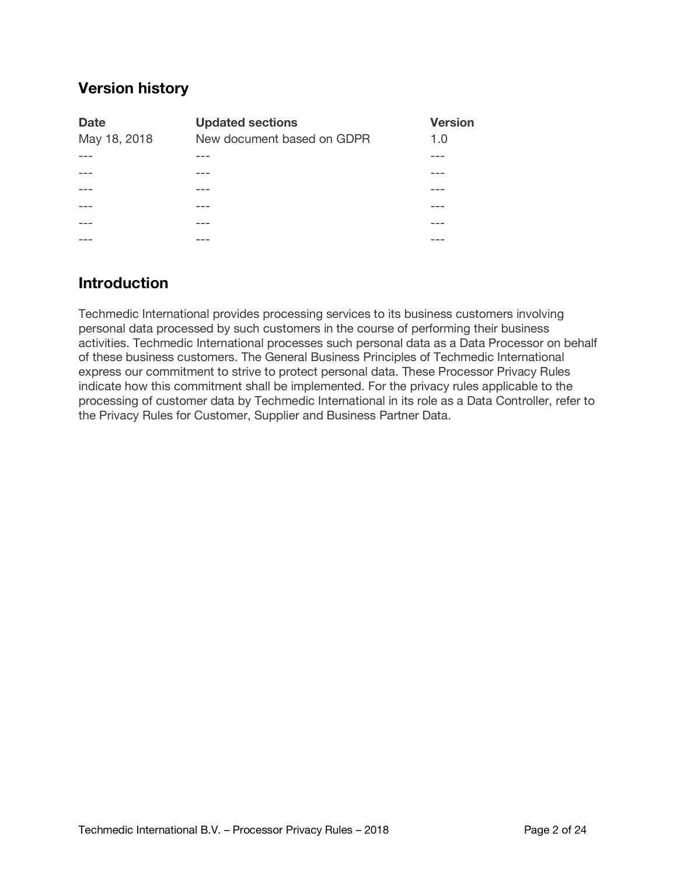# **Version history**

| <b>Date</b>  | <b>Updated sections</b>    | <b>Version</b> |
|--------------|----------------------------|----------------|
| May 18, 2018 | New document based on GDPR | 1.0            |
|              |                            |                |
|              |                            |                |
|              |                            |                |
|              |                            |                |
|              |                            |                |
|              |                            |                |

# **Introduction**

Techmedic International provides processing services to its business customers involving personal data processed by such customers in the course of performing their business activities. Techmedic International processes such personal data as a Data Processor on behalf of these business customers. The General Business Principles of Techmedic International express our commitment to strive to protect personal data. These Processor Privacy Rules indicate how this commitment shall be implemented. For the privacy rules applicable to the processing of customer data by Techmedic International in its role as a Data Controller, refer to the Privacy Rules for Customer, Supplier and Business Partner Data.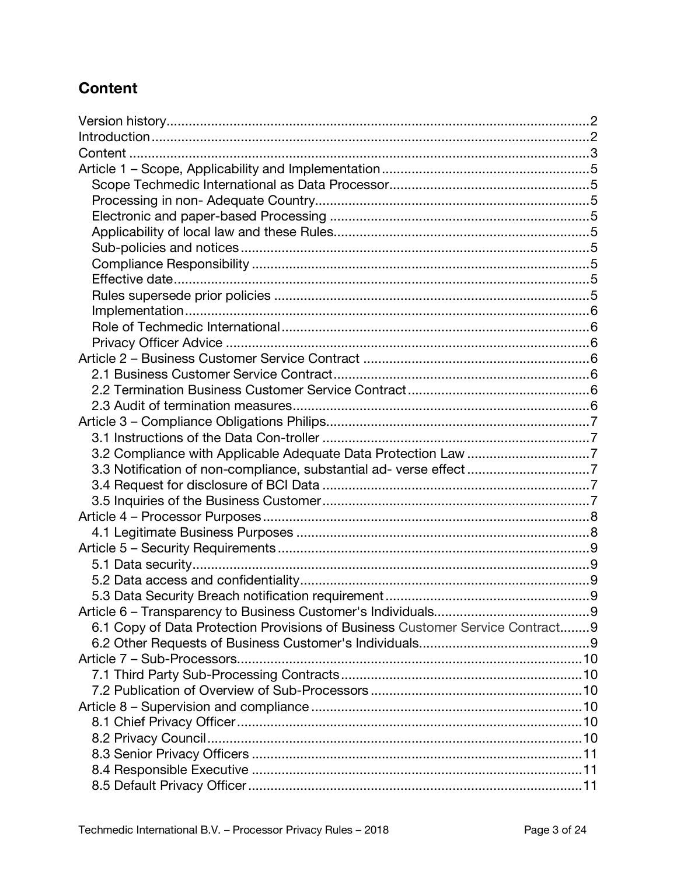# **Content**

| 3.2 Compliance with Applicable Adequate Data Protection Law 7                 |  |
|-------------------------------------------------------------------------------|--|
|                                                                               |  |
|                                                                               |  |
|                                                                               |  |
|                                                                               |  |
|                                                                               |  |
|                                                                               |  |
|                                                                               |  |
|                                                                               |  |
|                                                                               |  |
|                                                                               |  |
| 6.1 Copy of Data Protection Provisions of Business Customer Service Contract9 |  |
|                                                                               |  |
|                                                                               |  |
|                                                                               |  |
|                                                                               |  |
|                                                                               |  |
|                                                                               |  |
|                                                                               |  |
|                                                                               |  |
|                                                                               |  |
|                                                                               |  |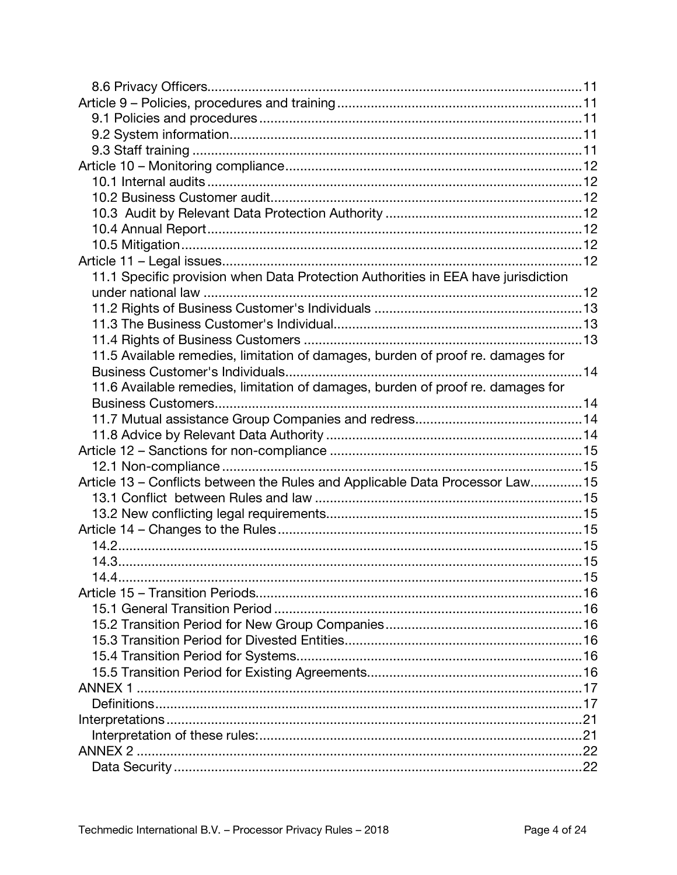| 11.1 Specific provision when Data Protection Authorities in EEA have jurisdiction |  |
|-----------------------------------------------------------------------------------|--|
|                                                                                   |  |
|                                                                                   |  |
|                                                                                   |  |
|                                                                                   |  |
| 11.5 Available remedies, limitation of damages, burden of proof re. damages for   |  |
|                                                                                   |  |
| 11.6 Available remedies, limitation of damages, burden of proof re. damages for   |  |
|                                                                                   |  |
|                                                                                   |  |
|                                                                                   |  |
|                                                                                   |  |
|                                                                                   |  |
| Article 13 - Conflicts between the Rules and Applicable Data Processor Law 15     |  |
|                                                                                   |  |
|                                                                                   |  |
|                                                                                   |  |
|                                                                                   |  |
|                                                                                   |  |
|                                                                                   |  |
|                                                                                   |  |
|                                                                                   |  |
|                                                                                   |  |
|                                                                                   |  |
|                                                                                   |  |
|                                                                                   |  |
| <b>ANNEX 1</b>                                                                    |  |
|                                                                                   |  |
|                                                                                   |  |
|                                                                                   |  |
| ANNEX 2.                                                                          |  |
|                                                                                   |  |
|                                                                                   |  |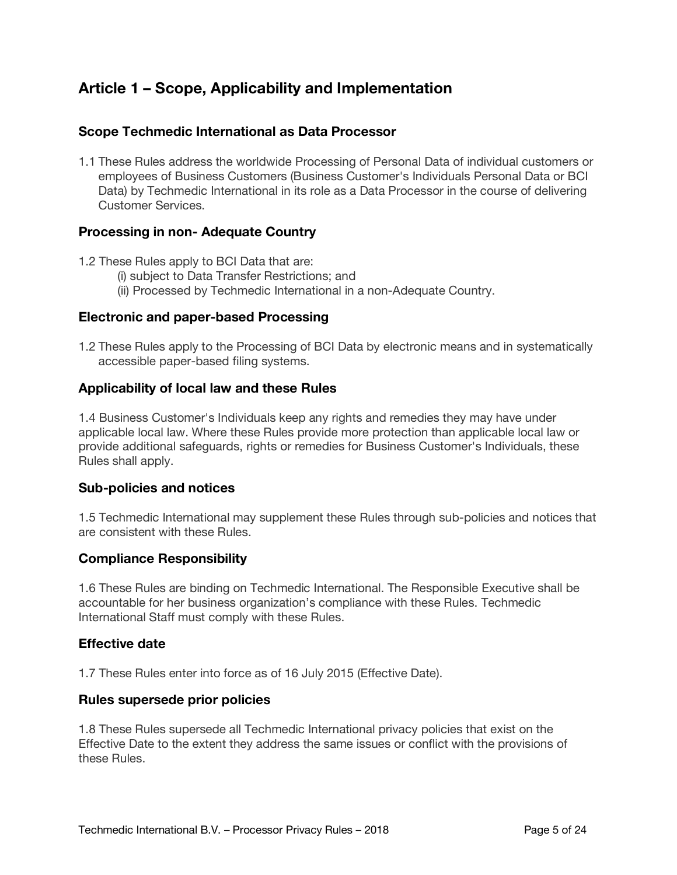# **Article 1 – Scope, Applicability and Implementation**

#### **Scope Techmedic International as Data Processor**

1.1 These Rules address the worldwide Processing of Personal Data of individual customers or employees of Business Customers (Business Customer's Individuals Personal Data or BCI Data) by Techmedic International in its role as a Data Processor in the course of delivering Customer Services.

#### **Processing in non- Adequate Country**

- 1.2 These Rules apply to BCI Data that are:
	- (i) subject to Data Transfer Restrictions; and
	- (ii) Processed by Techmedic International in a non-Adequate Country.

#### **Electronic and paper-based Processing**

1.2 These Rules apply to the Processing of BCI Data by electronic means and in systematically accessible paper-based filing systems.

#### **Applicability of local law and these Rules**

1.4 Business Customer's Individuals keep any rights and remedies they may have under applicable local law. Where these Rules provide more protection than applicable local law or provide additional safeguards, rights or remedies for Business Customer's Individuals, these Rules shall apply.

#### **Sub-policies and notices**

1.5 Techmedic International may supplement these Rules through sub-policies and notices that are consistent with these Rules.

#### **Compliance Responsibility**

1.6 These Rules are binding on Techmedic International. The Responsible Executive shall be accountable for her business organization's compliance with these Rules. Techmedic International Staff must comply with these Rules.

#### **Effective date**

1.7 These Rules enter into force as of 16 July 2015 (Effective Date).

#### **Rules supersede prior policies**

1.8 These Rules supersede all Techmedic International privacy policies that exist on the Effective Date to the extent they address the same issues or conflict with the provisions of these Rules.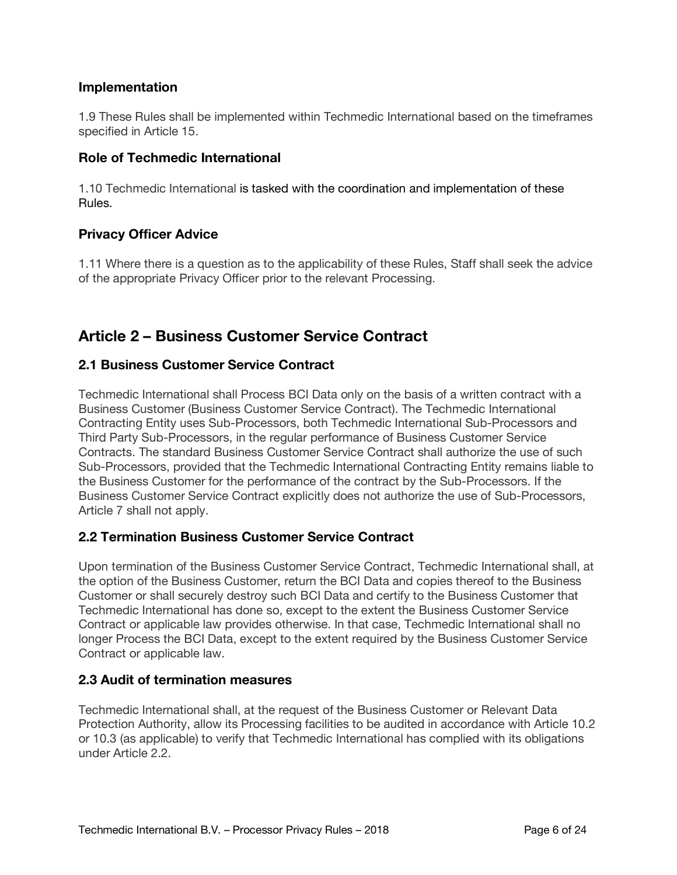## **Implementation**

1.9 These Rules shall be implemented within Techmedic International based on the timeframes specified in Article 15.

#### **Role of Techmedic International**

1.10 Techmedic International is tasked with the coordination and implementation of these Rules.

#### **Privacy Officer Advice**

1.11 Where there is a question as to the applicability of these Rules, Staff shall seek the advice of the appropriate Privacy Officer prior to the relevant Processing.

# **Article 2 – Business Customer Service Contract**

#### **2.1 Business Customer Service Contract**

Techmedic International shall Process BCI Data only on the basis of a written contract with a Business Customer (Business Customer Service Contract). The Techmedic International Contracting Entity uses Sub-Processors, both Techmedic International Sub-Processors and Third Party Sub-Processors, in the regular performance of Business Customer Service Contracts. The standard Business Customer Service Contract shall authorize the use of such Sub-Processors, provided that the Techmedic International Contracting Entity remains liable to the Business Customer for the performance of the contract by the Sub-Processors. If the Business Customer Service Contract explicitly does not authorize the use of Sub-Processors, Article 7 shall not apply.

## **2.2 Termination Business Customer Service Contract**

Upon termination of the Business Customer Service Contract, Techmedic International shall, at the option of the Business Customer, return the BCI Data and copies thereof to the Business Customer or shall securely destroy such BCI Data and certify to the Business Customer that Techmedic International has done so, except to the extent the Business Customer Service Contract or applicable law provides otherwise. In that case, Techmedic International shall no longer Process the BCI Data, except to the extent required by the Business Customer Service Contract or applicable law.

#### **2.3 Audit of termination measures**

Techmedic International shall, at the request of the Business Customer or Relevant Data Protection Authority, allow its Processing facilities to be audited in accordance with Article 10.2 or 10.3 (as applicable) to verify that Techmedic International has complied with its obligations under Article 2.2.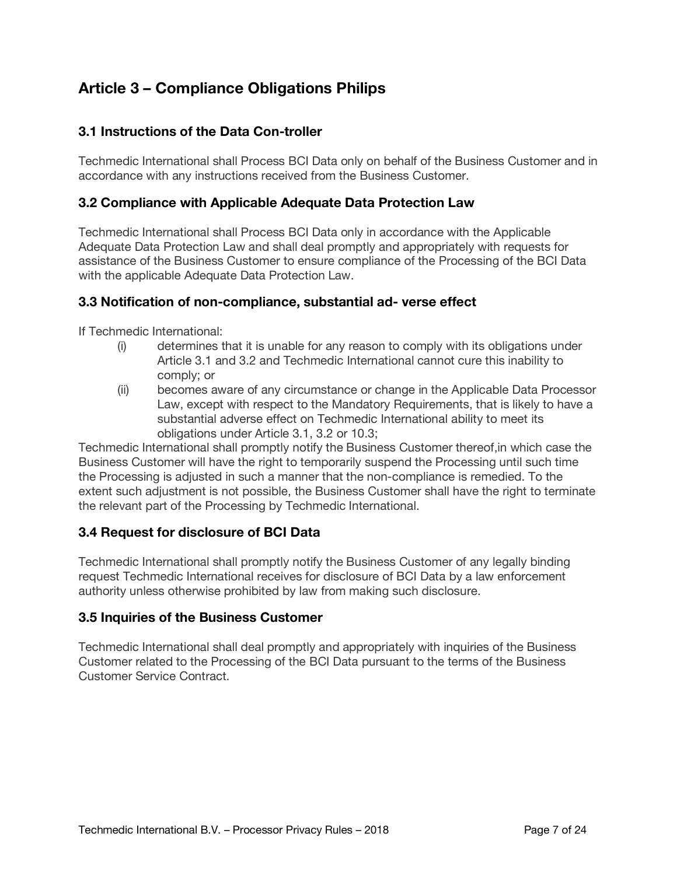# **Article 3 – Compliance Obligations Philips**

# **3.1 Instructions of the Data Con-troller**

Techmedic International shall Process BCI Data only on behalf of the Business Customer and in accordance with any instructions received from the Business Customer.

#### **3.2 Compliance with Applicable Adequate Data Protection Law**

Techmedic International shall Process BCI Data only in accordance with the Applicable Adequate Data Protection Law and shall deal promptly and appropriately with requests for assistance of the Business Customer to ensure compliance of the Processing of the BCI Data with the applicable Adequate Data Protection Law.

#### **3.3 Notification of non-compliance, substantial ad- verse effect**

If Techmedic International:

- (i) determines that it is unable for any reason to comply with its obligations under Article 3.1 and 3.2 and Techmedic International cannot cure this inability to comply; or
- (ii) becomes aware of any circumstance or change in the Applicable Data Processor Law, except with respect to the Mandatory Requirements, that is likely to have a substantial adverse effect on Techmedic International ability to meet its obligations under Article 3.1, 3.2 or 10.3;

Techmedic International shall promptly notify the Business Customer thereof,in which case the Business Customer will have the right to temporarily suspend the Processing until such time the Processing is adjusted in such a manner that the non-compliance is remedied. To the extent such adjustment is not possible, the Business Customer shall have the right to terminate the relevant part of the Processing by Techmedic International.

## **3.4 Request for disclosure of BCI Data**

Techmedic International shall promptly notify the Business Customer of any legally binding request Techmedic International receives for disclosure of BCI Data by a law enforcement authority unless otherwise prohibited by law from making such disclosure.

#### **3.5 Inquiries of the Business Customer**

Techmedic International shall deal promptly and appropriately with inquiries of the Business Customer related to the Processing of the BCI Data pursuant to the terms of the Business Customer Service Contract.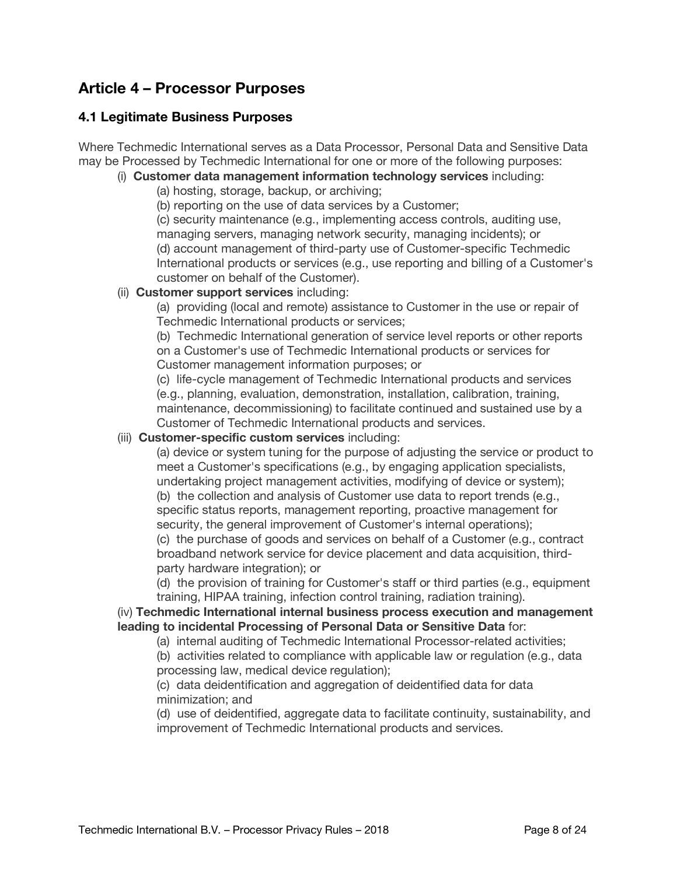# **Article 4 – Processor Purposes**

## **4.1 Legitimate Business Purposes**

Where Techmedic International serves as a Data Processor, Personal Data and Sensitive Data may be Processed by Techmedic International for one or more of the following purposes:

# (i) **Customer data management information technology services** including:

(a) hosting, storage, backup, or archiving;

(b) reporting on the use of data services by a Customer;

(c) security maintenance (e.g., implementing access controls, auditing use, managing servers, managing network security, managing incidents); or (d) account management of third-party use of Customer-specific Techmedic International products or services (e.g., use reporting and billing of a Customer's customer on behalf of the Customer).

#### (ii) **Customer support services** including:

(a) providing (local and remote) assistance to Customer in the use or repair of Techmedic International products or services;

(b) Techmedic International generation of service level reports or other reports on a Customer's use of Techmedic International products or services for Customer management information purposes; or

(c) life-cycle management of Techmedic International products and services (e.g., planning, evaluation, demonstration, installation, calibration, training, maintenance, decommissioning) to facilitate continued and sustained use by a Customer of Techmedic International products and services.

#### (iii) **Customer-specific custom services** including:

(a) device or system tuning for the purpose of adjusting the service or product to meet a Customer's specifications (e.g., by engaging application specialists, undertaking project management activities, modifying of device or system); (b) the collection and analysis of Customer use data to report trends (e.g., specific status reports, management reporting, proactive management for security, the general improvement of Customer's internal operations);

(c) the purchase of goods and services on behalf of a Customer (e.g., contract broadband network service for device placement and data acquisition, thirdparty hardware integration); or

(d) the provision of training for Customer's staff or third parties (e.g., equipment training, HIPAA training, infection control training, radiation training).

#### (iv) **Techmedic International internal business process execution and management leading to incidental Processing of Personal Data or Sensitive Data** for:

(a) internal auditing of Techmedic International Processor-related activities;

(b) activities related to compliance with applicable law or regulation (e.g., data processing law, medical device regulation);

(c) data deidentification and aggregation of deidentified data for data minimization; and

(d) use of deidentified, aggregate data to facilitate continuity, sustainability, and improvement of Techmedic International products and services.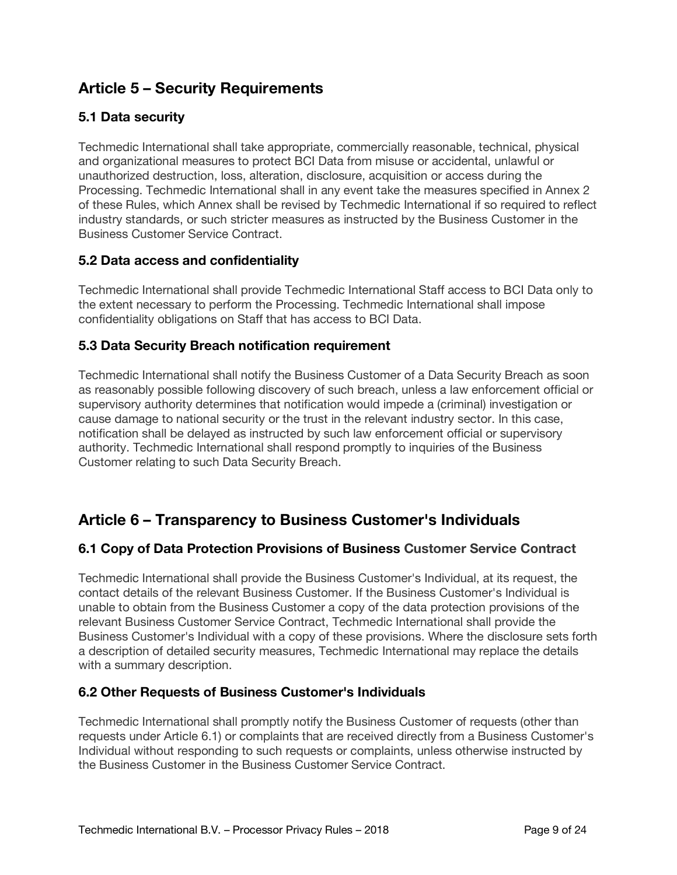# **Article 5 – Security Requirements**

# **5.1 Data security**

Techmedic International shall take appropriate, commercially reasonable, technical, physical and organizational measures to protect BCI Data from misuse or accidental, unlawful or unauthorized destruction, loss, alteration, disclosure, acquisition or access during the Processing. Techmedic International shall in any event take the measures specified in Annex 2 of these Rules, which Annex shall be revised by Techmedic International if so required to reflect industry standards, or such stricter measures as instructed by the Business Customer in the Business Customer Service Contract.

# **5.2 Data access and confidentiality**

Techmedic International shall provide Techmedic International Staff access to BCI Data only to the extent necessary to perform the Processing. Techmedic International shall impose confidentiality obligations on Staff that has access to BCI Data.

# **5.3 Data Security Breach notification requirement**

Techmedic International shall notify the Business Customer of a Data Security Breach as soon as reasonably possible following discovery of such breach, unless a law enforcement official or supervisory authority determines that notification would impede a (criminal) investigation or cause damage to national security or the trust in the relevant industry sector. In this case, notification shall be delayed as instructed by such law enforcement official or supervisory authority. Techmedic International shall respond promptly to inquiries of the Business Customer relating to such Data Security Breach.

# **Article 6 – Transparency to Business Customer's Individuals**

## **6.1 Copy of Data Protection Provisions of Business Customer Service Contract**

Techmedic International shall provide the Business Customer's Individual, at its request, the contact details of the relevant Business Customer. If the Business Customer's Individual is unable to obtain from the Business Customer a copy of the data protection provisions of the relevant Business Customer Service Contract, Techmedic International shall provide the Business Customer's Individual with a copy of these provisions. Where the disclosure sets forth a description of detailed security measures, Techmedic International may replace the details with a summary description.

## **6.2 Other Requests of Business Customer's Individuals**

Techmedic International shall promptly notify the Business Customer of requests (other than requests under Article 6.1) or complaints that are received directly from a Business Customer's Individual without responding to such requests or complaints, unless otherwise instructed by the Business Customer in the Business Customer Service Contract.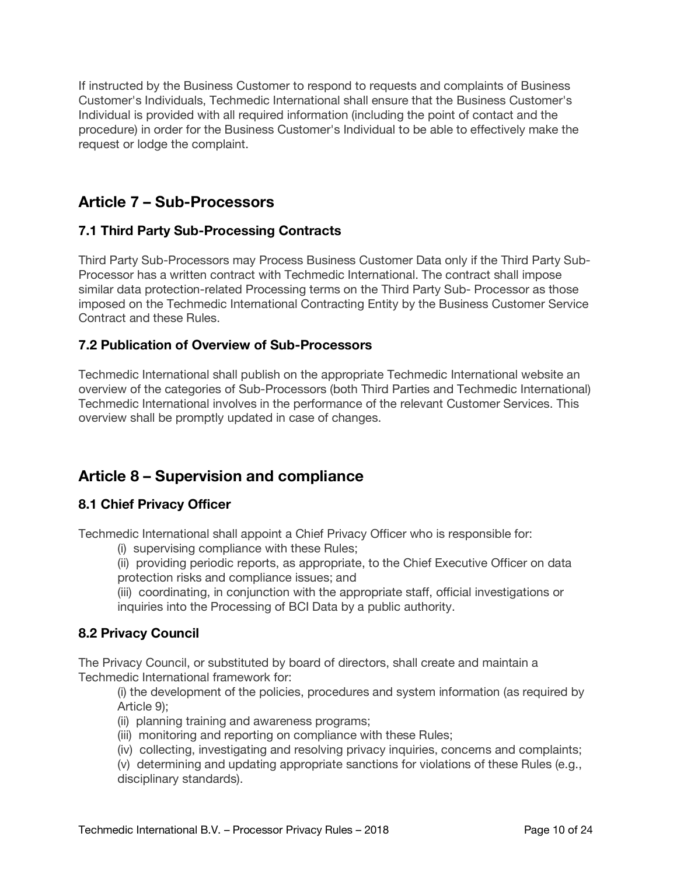If instructed by the Business Customer to respond to requests and complaints of Business Customer's Individuals, Techmedic International shall ensure that the Business Customer's Individual is provided with all required information (including the point of contact and the procedure) in order for the Business Customer's Individual to be able to effectively make the request or lodge the complaint.

# **Article 7 – Sub-Processors**

# **7.1 Third Party Sub-Processing Contracts**

Third Party Sub-Processors may Process Business Customer Data only if the Third Party Sub-Processor has a written contract with Techmedic International. The contract shall impose similar data protection-related Processing terms on the Third Party Sub- Processor as those imposed on the Techmedic International Contracting Entity by the Business Customer Service Contract and these Rules.

# **7.2 Publication of Overview of Sub-Processors**

Techmedic International shall publish on the appropriate Techmedic International website an overview of the categories of Sub-Processors (both Third Parties and Techmedic International) Techmedic International involves in the performance of the relevant Customer Services. This overview shall be promptly updated in case of changes.

# **Article 8 – Supervision and compliance**

# **8.1 Chief Privacy Officer**

Techmedic International shall appoint a Chief Privacy Officer who is responsible for:

- (i) supervising compliance with these Rules;
- (ii) providing periodic reports, as appropriate, to the Chief Executive Officer on data protection risks and compliance issues; and

(iii) coordinating, in conjunction with the appropriate staff, official investigations or inquiries into the Processing of BCI Data by a public authority.

## **8.2 Privacy Council**

The Privacy Council, or substituted by board of directors, shall create and maintain a Techmedic International framework for:

(i) the development of the policies, procedures and system information (as required by Article 9);

- (ii) planning training and awareness programs;
- (iii) monitoring and reporting on compliance with these Rules;
- (iv) collecting, investigating and resolving privacy inquiries, concerns and complaints;

(v) determining and updating appropriate sanctions for violations of these Rules (e.g., disciplinary standards).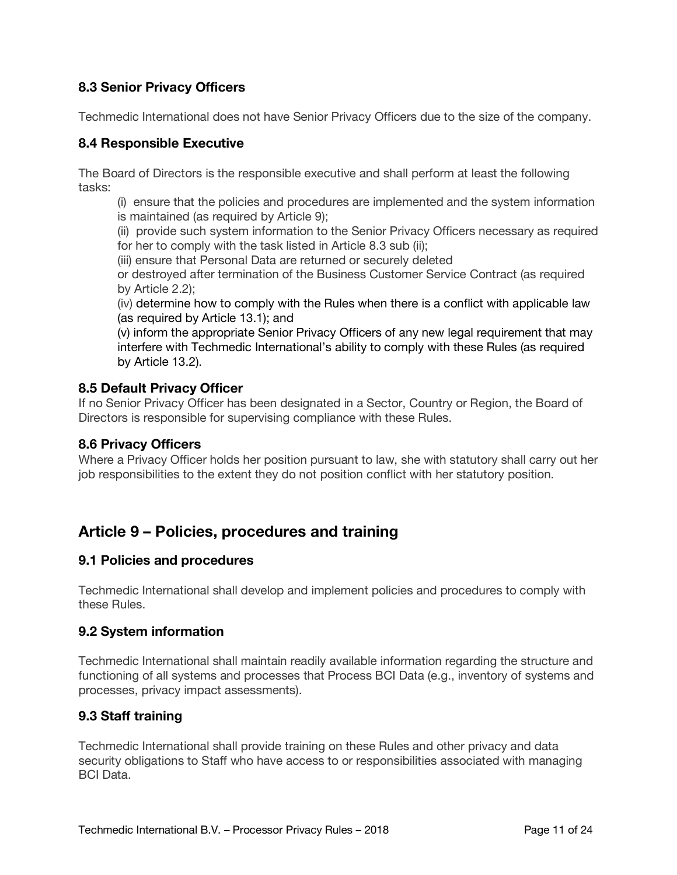# **8.3 Senior Privacy Officers**

Techmedic International does not have Senior Privacy Officers due to the size of the company.

#### **8.4 Responsible Executive**

The Board of Directors is the responsible executive and shall perform at least the following tasks:

(i) ensure that the policies and procedures are implemented and the system information is maintained (as required by Article 9);

(ii) provide such system information to the Senior Privacy Officers necessary as required for her to comply with the task listed in Article 8.3 sub (ii);

(iii) ensure that Personal Data are returned or securely deleted

or destroyed after termination of the Business Customer Service Contract (as required by Article 2.2);

(iv) determine how to comply with the Rules when there is a conflict with applicable law (as required by Article 13.1); and

(v) inform the appropriate Senior Privacy Officers of any new legal requirement that may interfere with Techmedic International's ability to comply with these Rules (as required by Article 13.2).

#### **8.5 Default Privacy Officer**

If no Senior Privacy Officer has been designated in a Sector, Country or Region, the Board of Directors is responsible for supervising compliance with these Rules.

#### **8.6 Privacy Officers**

Where a Privacy Officer holds her position pursuant to law, she with statutory shall carry out her job responsibilities to the extent they do not position conflict with her statutory position.

# **Article 9 – Policies, procedures and training**

#### **9.1 Policies and procedures**

Techmedic International shall develop and implement policies and procedures to comply with these Rules.

#### **9.2 System information**

Techmedic International shall maintain readily available information regarding the structure and functioning of all systems and processes that Process BCI Data (e.g., inventory of systems and processes, privacy impact assessments).

## **9.3 Staff training**

Techmedic International shall provide training on these Rules and other privacy and data security obligations to Staff who have access to or responsibilities associated with managing BCI Data.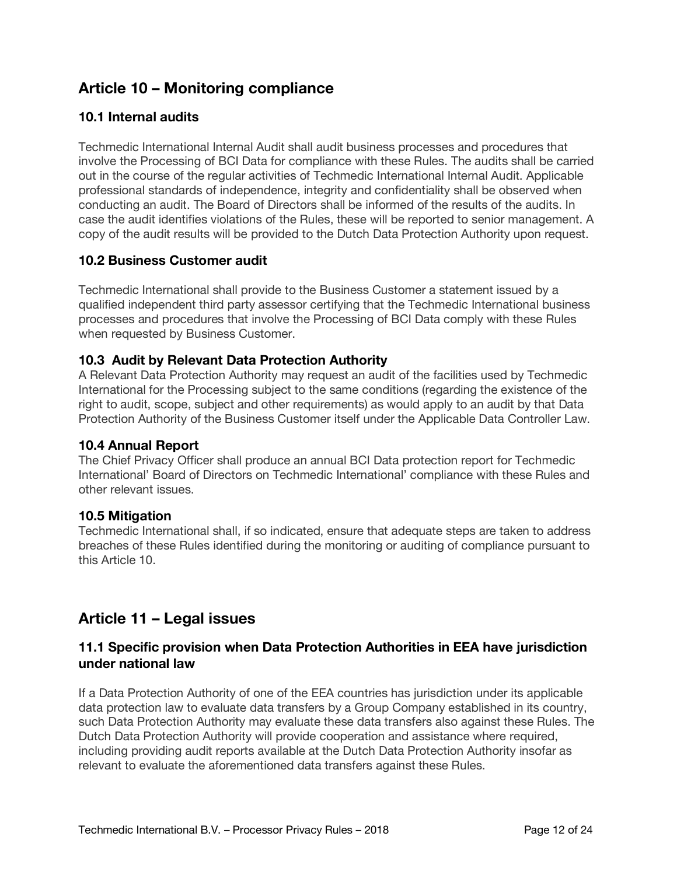# **Article 10 – Monitoring compliance**

# **10.1 Internal audits**

Techmedic International Internal Audit shall audit business processes and procedures that involve the Processing of BCI Data for compliance with these Rules. The audits shall be carried out in the course of the regular activities of Techmedic International Internal Audit. Applicable professional standards of independence, integrity and confidentiality shall be observed when conducting an audit. The Board of Directors shall be informed of the results of the audits. In case the audit identifies violations of the Rules, these will be reported to senior management. A copy of the audit results will be provided to the Dutch Data Protection Authority upon request.

## **10.2 Business Customer audit**

Techmedic International shall provide to the Business Customer a statement issued by a qualified independent third party assessor certifying that the Techmedic International business processes and procedures that involve the Processing of BCI Data comply with these Rules when requested by Business Customer.

## **10.3 Audit by Relevant Data Protection Authority**

A Relevant Data Protection Authority may request an audit of the facilities used by Techmedic International for the Processing subject to the same conditions (regarding the existence of the right to audit, scope, subject and other requirements) as would apply to an audit by that Data Protection Authority of the Business Customer itself under the Applicable Data Controller Law.

#### **10.4 Annual Report**

The Chief Privacy Officer shall produce an annual BCI Data protection report for Techmedic International' Board of Directors on Techmedic International' compliance with these Rules and other relevant issues.

#### **10.5 Mitigation**

Techmedic International shall, if so indicated, ensure that adequate steps are taken to address breaches of these Rules identified during the monitoring or auditing of compliance pursuant to this Article 10.

# **Article 11 – Legal issues**

#### **11.1 Specific provision when Data Protection Authorities in EEA have jurisdiction under national law**

If a Data Protection Authority of one of the EEA countries has jurisdiction under its applicable data protection law to evaluate data transfers by a Group Company established in its country, such Data Protection Authority may evaluate these data transfers also against these Rules. The Dutch Data Protection Authority will provide cooperation and assistance where required, including providing audit reports available at the Dutch Data Protection Authority insofar as relevant to evaluate the aforementioned data transfers against these Rules.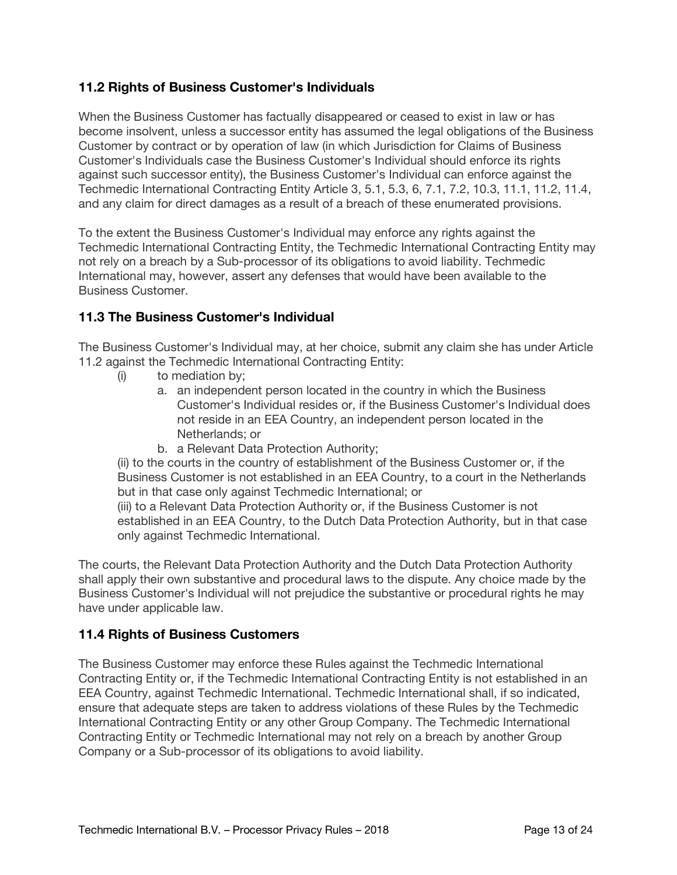# **11.2 Rights of Business Customer's Individuals**

When the Business Customer has factually disappeared or ceased to exist in law or has become insolvent, unless a successor entity has assumed the legal obligations of the Business Customer by contract or by operation of law (in which Jurisdiction for Claims of Business Customer's Individuals case the Business Customer's Individual should enforce its rights against such successor entity), the Business Customer's Individual can enforce against the Techmedic International Contracting Entity Article 3, 5.1, 5.3, 6, 7.1, 7.2, 10.3, 11.1, 11.2, 11.4, and any claim for direct damages as a result of a breach of these enumerated provisions.

To the extent the Business Customer's Individual may enforce any rights against the Techmedic International Contracting Entity, the Techmedic International Contracting Entity may not rely on a breach by a Sub-processor of its obligations to avoid liability. Techmedic International may, however, assert any defenses that would have been available to the Business Customer.

## **11.3 The Business Customer's Individual**

The Business Customer's Individual may, at her choice, submit any claim she has under Article 11.2 against the Techmedic International Contracting Entity:

- (i) to mediation by;
	- a. an independent person located in the country in which the Business Customer's Individual resides or, if the Business Customer's Individual does not reside in an EEA Country, an independent person located in the Netherlands; or
	- b. a Relevant Data Protection Authority;

(ii) to the courts in the country of establishment of the Business Customer or, if the Business Customer is not established in an EEA Country, to a court in the Netherlands but in that case only against Techmedic International; or

(iii) to a Relevant Data Protection Authority or, if the Business Customer is not established in an EEA Country, to the Dutch Data Protection Authority, but in that case only against Techmedic International.

The courts, the Relevant Data Protection Authority and the Dutch Data Protection Authority shall apply their own substantive and procedural laws to the dispute. Any choice made by the Business Customer's Individual will not prejudice the substantive or procedural rights he may have under applicable law.

## **11.4 Rights of Business Customers**

The Business Customer may enforce these Rules against the Techmedic International Contracting Entity or, if the Techmedic International Contracting Entity is not established in an EEA Country, against Techmedic International. Techmedic International shall, if so indicated, ensure that adequate steps are taken to address violations of these Rules by the Techmedic International Contracting Entity or any other Group Company. The Techmedic International Contracting Entity or Techmedic International may not rely on a breach by another Group Company or a Sub-processor of its obligations to avoid liability.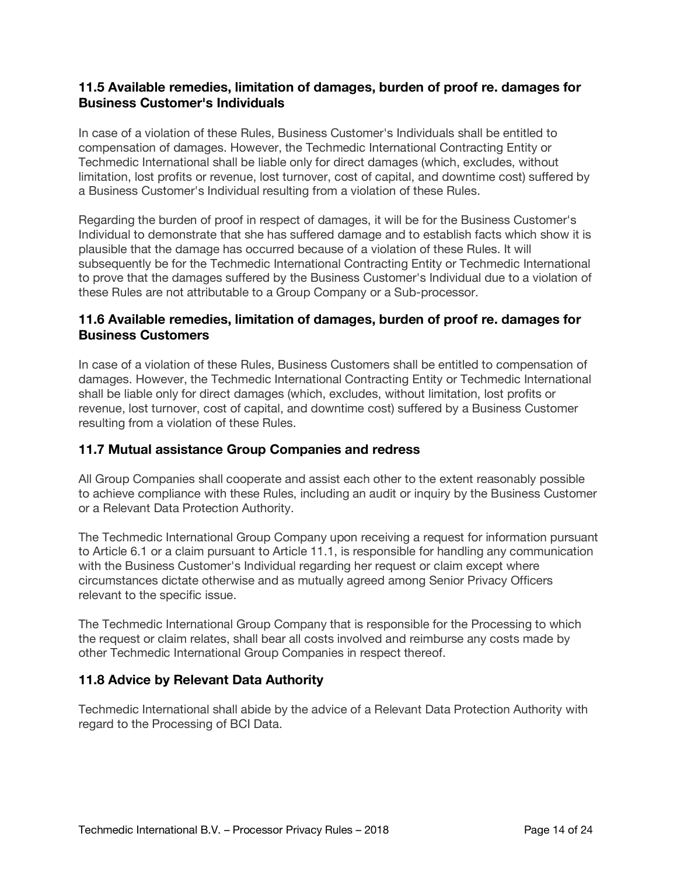#### **11.5 Available remedies, limitation of damages, burden of proof re. damages for Business Customer's Individuals**

In case of a violation of these Rules, Business Customer's Individuals shall be entitled to compensation of damages. However, the Techmedic International Contracting Entity or Techmedic International shall be liable only for direct damages (which, excludes, without limitation, lost profits or revenue, lost turnover, cost of capital, and downtime cost) suffered by a Business Customer's Individual resulting from a violation of these Rules.

Regarding the burden of proof in respect of damages, it will be for the Business Customer's Individual to demonstrate that she has suffered damage and to establish facts which show it is plausible that the damage has occurred because of a violation of these Rules. It will subsequently be for the Techmedic International Contracting Entity or Techmedic International to prove that the damages suffered by the Business Customer's Individual due to a violation of these Rules are not attributable to a Group Company or a Sub-processor.

## **11.6 Available remedies, limitation of damages, burden of proof re. damages for Business Customers**

In case of a violation of these Rules, Business Customers shall be entitled to compensation of damages. However, the Techmedic International Contracting Entity or Techmedic International shall be liable only for direct damages (which, excludes, without limitation, lost profits or revenue, lost turnover, cost of capital, and downtime cost) suffered by a Business Customer resulting from a violation of these Rules.

## **11.7 Mutual assistance Group Companies and redress**

All Group Companies shall cooperate and assist each other to the extent reasonably possible to achieve compliance with these Rules, including an audit or inquiry by the Business Customer or a Relevant Data Protection Authority.

The Techmedic International Group Company upon receiving a request for information pursuant to Article 6.1 or a claim pursuant to Article 11.1, is responsible for handling any communication with the Business Customer's Individual regarding her request or claim except where circumstances dictate otherwise and as mutually agreed among Senior Privacy Officers relevant to the specific issue.

The Techmedic International Group Company that is responsible for the Processing to which the request or claim relates, shall bear all costs involved and reimburse any costs made by other Techmedic International Group Companies in respect thereof.

## **11.8 Advice by Relevant Data Authority**

Techmedic International shall abide by the advice of a Relevant Data Protection Authority with regard to the Processing of BCI Data.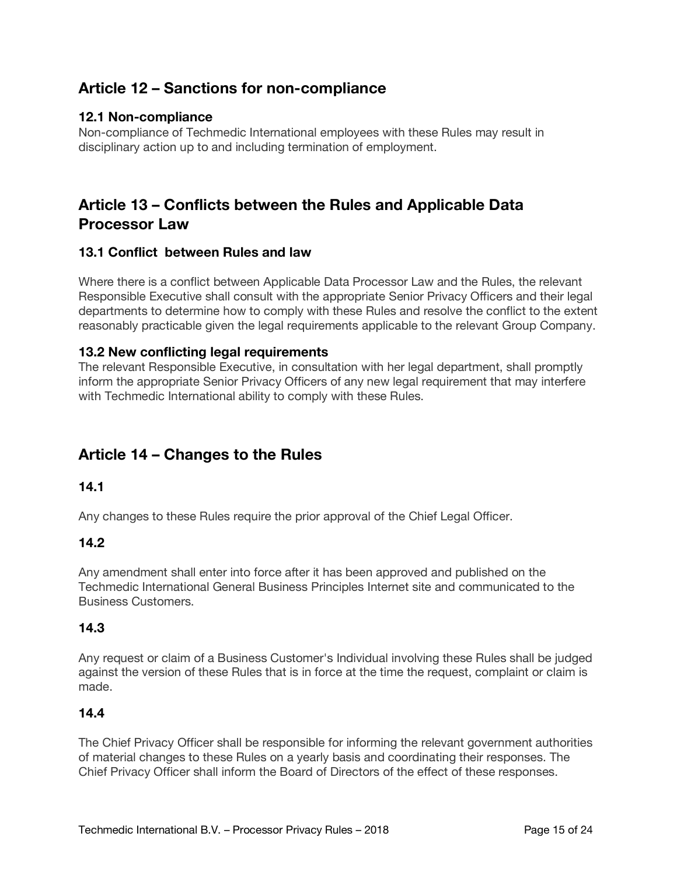# **Article 12 – Sanctions for non-compliance**

#### **12.1 Non-compliance**

Non-compliance of Techmedic International employees with these Rules may result in disciplinary action up to and including termination of employment.

# **Article 13 – Conflicts between the Rules and Applicable Data Processor Law**

#### **13.1 Conflict between Rules and law**

Where there is a conflict between Applicable Data Processor Law and the Rules, the relevant Responsible Executive shall consult with the appropriate Senior Privacy Officers and their legal departments to determine how to comply with these Rules and resolve the conflict to the extent reasonably practicable given the legal requirements applicable to the relevant Group Company.

#### **13.2 New conflicting legal requirements**

The relevant Responsible Executive, in consultation with her legal department, shall promptly inform the appropriate Senior Privacy Officers of any new legal requirement that may interfere with Techmedic International ability to comply with these Rules.

# **Article 14 – Changes to the Rules**

#### **14.1**

Any changes to these Rules require the prior approval of the Chief Legal Officer.

#### **14.2**

Any amendment shall enter into force after it has been approved and published on the Techmedic International General Business Principles Internet site and communicated to the Business Customers.

#### **14.3**

Any request or claim of a Business Customer's Individual involving these Rules shall be judged against the version of these Rules that is in force at the time the request, complaint or claim is made.

## **14.4**

The Chief Privacy Officer shall be responsible for informing the relevant government authorities of material changes to these Rules on a yearly basis and coordinating their responses. The Chief Privacy Officer shall inform the Board of Directors of the effect of these responses.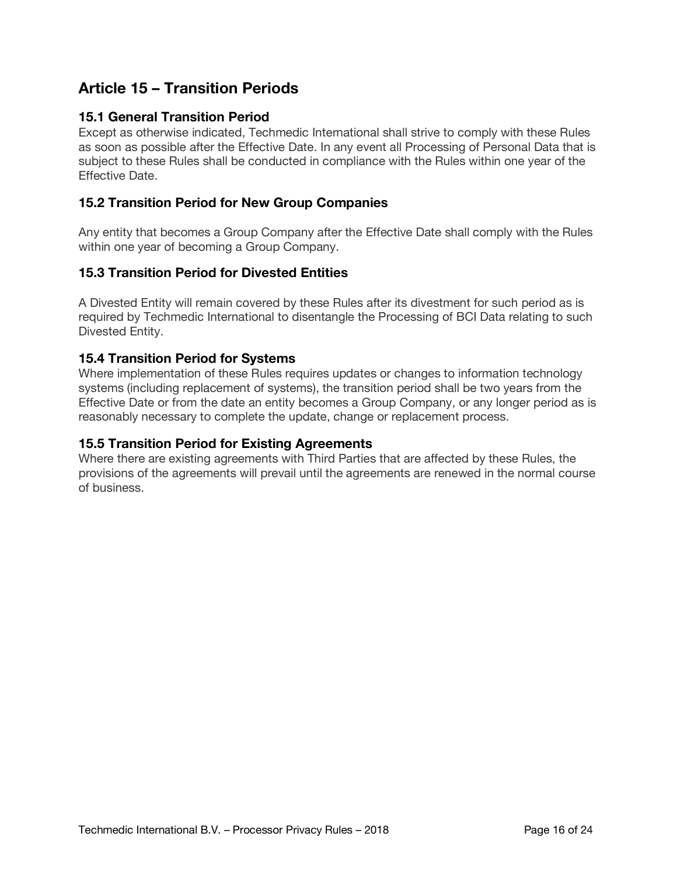# **Article 15 – Transition Periods**

# **15.1 General Transition Period**

Except as otherwise indicated, Techmedic International shall strive to comply with these Rules as soon as possible after the Effective Date. In any event all Processing of Personal Data that is subject to these Rules shall be conducted in compliance with the Rules within one year of the Effective Date.

## **15.2 Transition Period for New Group Companies**

Any entity that becomes a Group Company after the Effective Date shall comply with the Rules within one year of becoming a Group Company.

## **15.3 Transition Period for Divested Entities**

A Divested Entity will remain covered by these Rules after its divestment for such period as is required by Techmedic International to disentangle the Processing of BCI Data relating to such Divested Entity.

## **15.4 Transition Period for Systems**

Where implementation of these Rules requires updates or changes to information technology systems (including replacement of systems), the transition period shall be two years from the Effective Date or from the date an entity becomes a Group Company, or any longer period as is reasonably necessary to complete the update, change or replacement process.

## **15.5 Transition Period for Existing Agreements**

Where there are existing agreements with Third Parties that are affected by these Rules, the provisions of the agreements will prevail until the agreements are renewed in the normal course of business.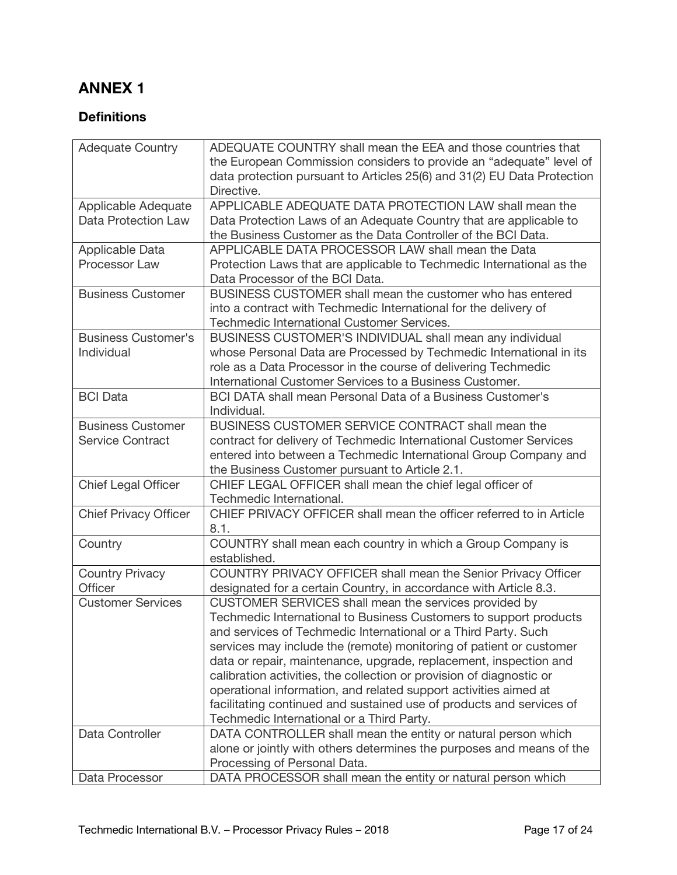# **ANNEX 1**

# **Definitions**

| <b>Adequate Country</b>      | ADEQUATE COUNTRY shall mean the EEA and those countries that            |
|------------------------------|-------------------------------------------------------------------------|
|                              | the European Commission considers to provide an "adequate" level of     |
|                              | data protection pursuant to Articles 25(6) and 31(2) EU Data Protection |
|                              | Directive.                                                              |
| Applicable Adequate          | APPLICABLE ADEQUATE DATA PROTECTION LAW shall mean the                  |
| Data Protection Law          | Data Protection Laws of an Adequate Country that are applicable to      |
|                              | the Business Customer as the Data Controller of the BCI Data.           |
| <b>Applicable Data</b>       | APPLICABLE DATA PROCESSOR LAW shall mean the Data                       |
| Processor Law                | Protection Laws that are applicable to Techmedic International as the   |
|                              | Data Processor of the BCI Data.                                         |
| <b>Business Customer</b>     | BUSINESS CUSTOMER shall mean the customer who has entered               |
|                              | into a contract with Techmedic International for the delivery of        |
|                              | Techmedic International Customer Services.                              |
| <b>Business Customer's</b>   | BUSINESS CUSTOMER'S INDIVIDUAL shall mean any individual                |
| Individual                   | whose Personal Data are Processed by Techmedic International in its     |
|                              | role as a Data Processor in the course of delivering Techmedic          |
|                              |                                                                         |
|                              | International Customer Services to a Business Customer.                 |
| <b>BCI Data</b>              | <b>BCI DATA shall mean Personal Data of a Business Customer's</b>       |
|                              | Individual.                                                             |
| <b>Business Customer</b>     | BUSINESS CUSTOMER SERVICE CONTRACT shall mean the                       |
| <b>Service Contract</b>      | contract for delivery of Techmedic International Customer Services      |
|                              | entered into between a Techmedic International Group Company and        |
|                              | the Business Customer pursuant to Article 2.1.                          |
| <b>Chief Legal Officer</b>   | CHIEF LEGAL OFFICER shall mean the chief legal officer of               |
|                              | Techmedic International.                                                |
| <b>Chief Privacy Officer</b> | CHIEF PRIVACY OFFICER shall mean the officer referred to in Article     |
|                              | 8.1.                                                                    |
| Country                      | COUNTRY shall mean each country in which a Group Company is             |
|                              | established.                                                            |
| <b>Country Privacy</b>       | COUNTRY PRIVACY OFFICER shall mean the Senior Privacy Officer           |
| Officer                      | designated for a certain Country, in accordance with Article 8.3.       |
| <b>Customer Services</b>     | CUSTOMER SERVICES shall mean the services provided by                   |
|                              | Techmedic International to Business Customers to support products       |
|                              | and services of Techmedic International or a Third Party. Such          |
|                              | services may include the (remote) monitoring of patient or customer     |
|                              | data or repair, maintenance, upgrade, replacement, inspection and       |
|                              | calibration activities, the collection or provision of diagnostic or    |
|                              | operational information, and related support activities aimed at        |
|                              | facilitating continued and sustained use of products and services of    |
|                              | Techmedic International or a Third Party.                               |
| Data Controller              | DATA CONTROLLER shall mean the entity or natural person which           |
|                              | alone or jointly with others determines the purposes and means of the   |
|                              | Processing of Personal Data.                                            |
|                              |                                                                         |
| Data Processor               | DATA PROCESSOR shall mean the entity or natural person which            |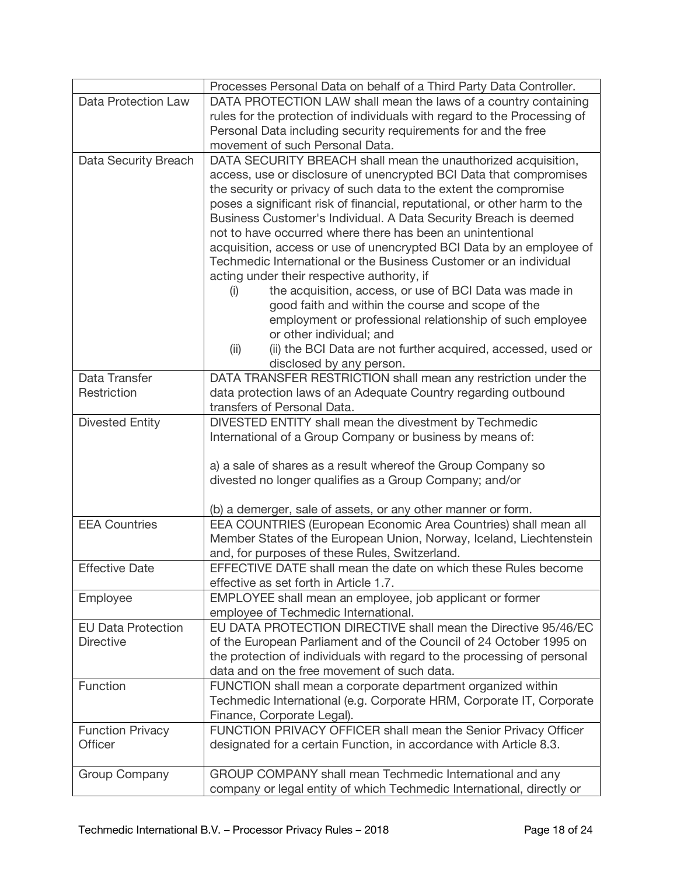|                                    | Processes Personal Data on behalf of a Third Party Data Controller.                                                                  |
|------------------------------------|--------------------------------------------------------------------------------------------------------------------------------------|
| Data Protection Law                | DATA PROTECTION LAW shall mean the laws of a country containing                                                                      |
|                                    | rules for the protection of individuals with regard to the Processing of                                                             |
|                                    | Personal Data including security requirements for and the free                                                                       |
|                                    | movement of such Personal Data.                                                                                                      |
| Data Security Breach               | DATA SECURITY BREACH shall mean the unauthorized acquisition,                                                                        |
|                                    | access, use or disclosure of unencrypted BCI Data that compromises                                                                   |
|                                    | the security or privacy of such data to the extent the compromise                                                                    |
|                                    | poses a significant risk of financial, reputational, or other harm to the                                                            |
|                                    | Business Customer's Individual. A Data Security Breach is deemed                                                                     |
|                                    | not to have occurred where there has been an unintentional                                                                           |
|                                    | acquisition, access or use of unencrypted BCI Data by an employee of                                                                 |
|                                    | Techmedic International or the Business Customer or an individual                                                                    |
|                                    | acting under their respective authority, if                                                                                          |
|                                    | the acquisition, access, or use of BCI Data was made in<br>(i)                                                                       |
|                                    | good faith and within the course and scope of the                                                                                    |
|                                    | employment or professional relationship of such employee                                                                             |
|                                    | or other individual; and                                                                                                             |
|                                    | (ii) the BCI Data are not further acquired, accessed, used or<br>(ii)                                                                |
|                                    | disclosed by any person.                                                                                                             |
| Data Transfer                      | DATA TRANSFER RESTRICTION shall mean any restriction under the                                                                       |
| Restriction                        | data protection laws of an Adequate Country regarding outbound                                                                       |
|                                    | transfers of Personal Data.                                                                                                          |
| <b>Divested Entity</b>             | DIVESTED ENTITY shall mean the divestment by Techmedic                                                                               |
|                                    | International of a Group Company or business by means of:                                                                            |
|                                    |                                                                                                                                      |
|                                    | a) a sale of shares as a result whereof the Group Company so                                                                         |
|                                    | divested no longer qualifies as a Group Company; and/or                                                                              |
|                                    |                                                                                                                                      |
|                                    | (b) a demerger, sale of assets, or any other manner or form.                                                                         |
| <b>EEA Countries</b>               | EEA COUNTRIES (European Economic Area Countries) shall mean all                                                                      |
|                                    | Member States of the European Union, Norway, Iceland, Liechtenstein                                                                  |
|                                    | and, for purposes of these Rules, Switzerland.                                                                                       |
| <b>Effective Date</b>              | EFFECTIVE DATE shall mean the date on which these Rules become                                                                       |
|                                    | effective as set forth in Article 1.7.                                                                                               |
| Employee                           | EMPLOYEE shall mean an employee, job applicant or former                                                                             |
|                                    | employee of Techmedic International.                                                                                                 |
| <b>EU Data Protection</b>          | EU DATA PROTECTION DIRECTIVE shall mean the Directive 95/46/EC                                                                       |
| <b>Directive</b>                   | of the European Parliament and of the Council of 24 October 1995 on                                                                  |
|                                    | the protection of individuals with regard to the processing of personal                                                              |
|                                    | data and on the free movement of such data.                                                                                          |
| Function                           | FUNCTION shall mean a corporate department organized within                                                                          |
|                                    | Techmedic International (e.g. Corporate HRM, Corporate IT, Corporate                                                                 |
|                                    | Finance, Corporate Legal).                                                                                                           |
| <b>Function Privacy</b><br>Officer | FUNCTION PRIVACY OFFICER shall mean the Senior Privacy Officer<br>designated for a certain Function, in accordance with Article 8.3. |
|                                    |                                                                                                                                      |
| <b>Group Company</b>               | GROUP COMPANY shall mean Techmedic International and any                                                                             |
|                                    | company or legal entity of which Techmedic International, directly or                                                                |
|                                    |                                                                                                                                      |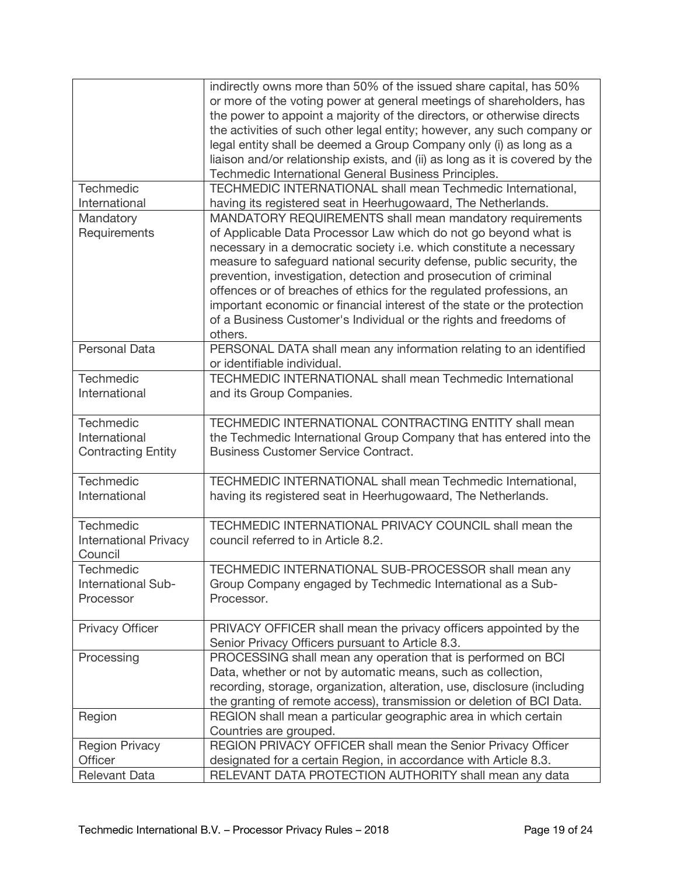|                              | indirectly owns more than 50% of the issued share capital, has 50%<br>or more of the voting power at general meetings of shareholders, has |
|------------------------------|--------------------------------------------------------------------------------------------------------------------------------------------|
|                              | the power to appoint a majority of the directors, or otherwise directs                                                                     |
|                              | the activities of such other legal entity; however, any such company or                                                                    |
|                              | legal entity shall be deemed a Group Company only (i) as long as a                                                                         |
|                              | liaison and/or relationship exists, and (ii) as long as it is covered by the                                                               |
|                              | Techmedic International General Business Principles.                                                                                       |
| Techmedic                    | TECHMEDIC INTERNATIONAL shall mean Techmedic International,                                                                                |
| International                | having its registered seat in Heerhugowaard, The Netherlands.                                                                              |
| Mandatory                    | MANDATORY REQUIREMENTS shall mean mandatory requirements                                                                                   |
| Requirements                 | of Applicable Data Processor Law which do not go beyond what is                                                                            |
|                              | necessary in a democratic society i.e. which constitute a necessary                                                                        |
|                              | measure to safeguard national security defense, public security, the                                                                       |
|                              |                                                                                                                                            |
|                              | prevention, investigation, detection and prosecution of criminal                                                                           |
|                              | offences or of breaches of ethics for the regulated professions, an                                                                        |
|                              | important economic or financial interest of the state or the protection                                                                    |
|                              | of a Business Customer's Individual or the rights and freedoms of                                                                          |
|                              | others.                                                                                                                                    |
| <b>Personal Data</b>         | PERSONAL DATA shall mean any information relating to an identified                                                                         |
|                              | or identifiable individual.                                                                                                                |
| Techmedic                    | <b>TECHMEDIC INTERNATIONAL shall mean Techmedic International</b>                                                                          |
| International                | and its Group Companies.                                                                                                                   |
| Techmedic                    | TECHMEDIC INTERNATIONAL CONTRACTING ENTITY shall mean                                                                                      |
| International                | the Techmedic International Group Company that has entered into the                                                                        |
| <b>Contracting Entity</b>    | <b>Business Customer Service Contract.</b>                                                                                                 |
|                              |                                                                                                                                            |
| Techmedic                    | TECHMEDIC INTERNATIONAL shall mean Techmedic International,                                                                                |
| International                | having its registered seat in Heerhugowaard, The Netherlands.                                                                              |
|                              |                                                                                                                                            |
| Techmedic                    | TECHMEDIC INTERNATIONAL PRIVACY COUNCIL shall mean the                                                                                     |
| <b>International Privacy</b> | council referred to in Article 8.2.                                                                                                        |
| Council                      |                                                                                                                                            |
| <b>Techmedic</b>             | TECHMEDIC INTERNATIONAL SUB-PROCESSOR shall mean any                                                                                       |
| International Sub-           | Group Company engaged by Techmedic International as a Sub-                                                                                 |
| Processor                    | Processor.                                                                                                                                 |
|                              |                                                                                                                                            |
| <b>Privacy Officer</b>       | PRIVACY OFFICER shall mean the privacy officers appointed by the                                                                           |
|                              | Senior Privacy Officers pursuant to Article 8.3.                                                                                           |
| Processing                   | PROCESSING shall mean any operation that is performed on BCI                                                                               |
|                              | Data, whether or not by automatic means, such as collection,                                                                               |
|                              | recording, storage, organization, alteration, use, disclosure (including                                                                   |
|                              | the granting of remote access), transmission or deletion of BCI Data.                                                                      |
| Region                       | REGION shall mean a particular geographic area in which certain                                                                            |
|                              | Countries are grouped.                                                                                                                     |
| <b>Region Privacy</b>        | REGION PRIVACY OFFICER shall mean the Senior Privacy Officer                                                                               |
| Officer                      | designated for a certain Region, in accordance with Article 8.3.                                                                           |
| <b>Relevant Data</b>         | RELEVANT DATA PROTECTION AUTHORITY shall mean any data                                                                                     |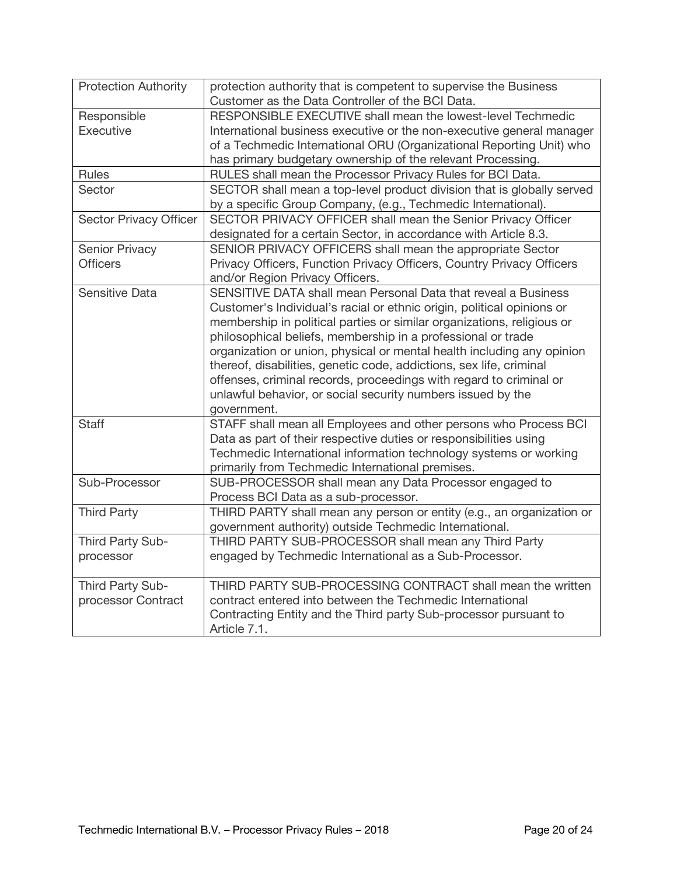| <b>Protection Authority</b> | protection authority that is competent to supervise the Business<br>Customer as the Data Controller of the BCI Data. |
|-----------------------------|----------------------------------------------------------------------------------------------------------------------|
| Responsible                 | RESPONSIBLE EXECUTIVE shall mean the lowest-level Techmedic                                                          |
| Executive                   | International business executive or the non-executive general manager                                                |
|                             | of a Techmedic International ORU (Organizational Reporting Unit) who                                                 |
|                             | has primary budgetary ownership of the relevant Processing.                                                          |
| <b>Rules</b>                | RULES shall mean the Processor Privacy Rules for BCI Data.                                                           |
| Sector                      | SECTOR shall mean a top-level product division that is globally served                                               |
|                             | by a specific Group Company, (e.g., Techmedic International).                                                        |
| Sector Privacy Officer      | SECTOR PRIVACY OFFICER shall mean the Senior Privacy Officer                                                         |
|                             | designated for a certain Sector, in accordance with Article 8.3.                                                     |
| <b>Senior Privacy</b>       | SENIOR PRIVACY OFFICERS shall mean the appropriate Sector                                                            |
| <b>Officers</b>             | Privacy Officers, Function Privacy Officers, Country Privacy Officers                                                |
|                             | and/or Region Privacy Officers.                                                                                      |
| Sensitive Data              | SENSITIVE DATA shall mean Personal Data that reveal a Business                                                       |
|                             | Customer's Individual's racial or ethnic origin, political opinions or                                               |
|                             | membership in political parties or similar organizations, religious or                                               |
|                             | philosophical beliefs, membership in a professional or trade                                                         |
|                             | organization or union, physical or mental health including any opinion                                               |
|                             | thereof, disabilities, genetic code, addictions, sex life, criminal                                                  |
|                             | offenses, criminal records, proceedings with regard to criminal or                                                   |
|                             | unlawful behavior, or social security numbers issued by the                                                          |
|                             | government.                                                                                                          |
| <b>Staff</b>                | STAFF shall mean all Employees and other persons who Process BCI                                                     |
|                             | Data as part of their respective duties or responsibilities using                                                    |
|                             | Techmedic International information technology systems or working                                                    |
|                             | primarily from Techmedic International premises.                                                                     |
| Sub-Processor               | SUB-PROCESSOR shall mean any Data Processor engaged to                                                               |
|                             | Process BCI Data as a sub-processor.                                                                                 |
| <b>Third Party</b>          | THIRD PARTY shall mean any person or entity (e.g., an organization or                                                |
|                             | government authority) outside Techmedic International.                                                               |
| Third Party Sub-            | THIRD PARTY SUB-PROCESSOR shall mean any Third Party                                                                 |
| processor                   | engaged by Techmedic International as a Sub-Processor.                                                               |
| Third Party Sub-            | THIRD PARTY SUB-PROCESSING CONTRACT shall mean the written                                                           |
| processor Contract          | contract entered into between the Techmedic International                                                            |
|                             | Contracting Entity and the Third party Sub-processor pursuant to                                                     |
|                             | Article 7.1.                                                                                                         |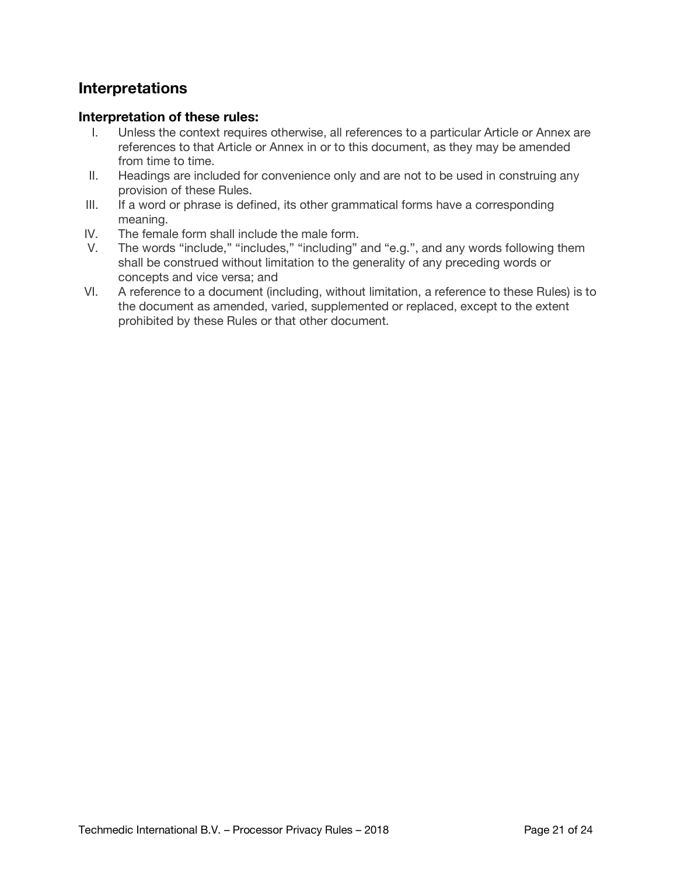# **Interpretations**

#### **Interpretation of these rules:**

- I. Unless the context requires otherwise, all references to a particular Article or Annex are references to that Article or Annex in or to this document, as they may be amended from time to time.
- II. Headings are included for convenience only and are not to be used in construing any provision of these Rules.
- III. If a word or phrase is defined, its other grammatical forms have a corresponding meaning.
- IV. The female form shall include the male form.
- V. The words "include," "includes," "including" and "e.g.", and any words following them shall be construed without limitation to the generality of any preceding words or concepts and vice versa; and
- VI. A reference to a document (including, without limitation, a reference to these Rules) is to the document as amended, varied, supplemented or replaced, except to the extent prohibited by these Rules or that other document.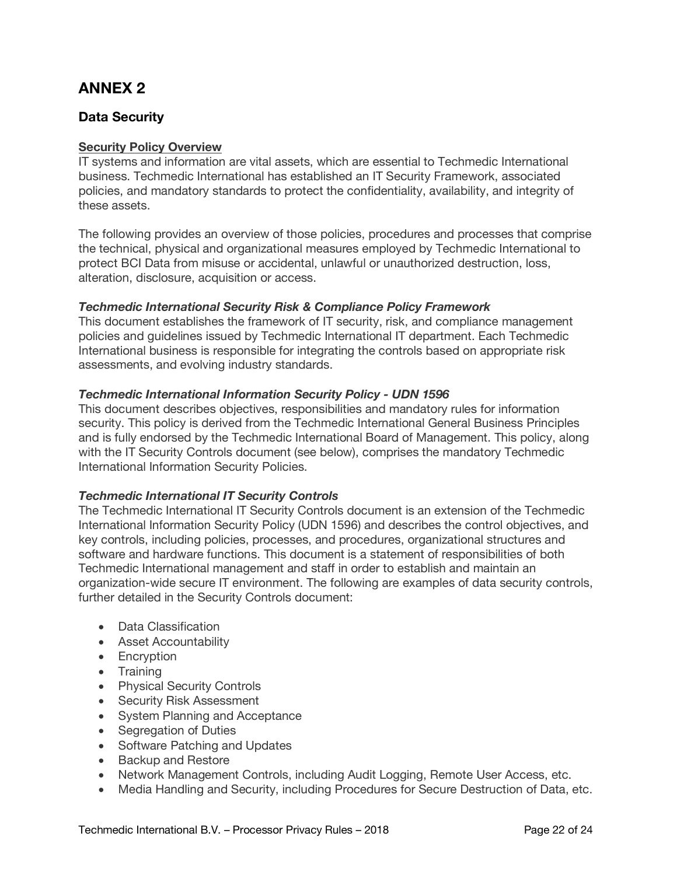# **ANNEX 2**

## **Data Security**

#### **Security Policy Overview**

IT systems and information are vital assets, which are essential to Techmedic International business. Techmedic International has established an IT Security Framework, associated policies, and mandatory standards to protect the confidentiality, availability, and integrity of these assets.

The following provides an overview of those policies, procedures and processes that comprise the technical, physical and organizational measures employed by Techmedic International to protect BCI Data from misuse or accidental, unlawful or unauthorized destruction, loss, alteration, disclosure, acquisition or access.

#### *Techmedic International Security Risk & Compliance Policy Framework*

This document establishes the framework of IT security, risk, and compliance management policies and guidelines issued by Techmedic International IT department. Each Techmedic International business is responsible for integrating the controls based on appropriate risk assessments, and evolving industry standards.

#### *Techmedic International Information Security Policy - UDN 1596*

This document describes objectives, responsibilities and mandatory rules for information security. This policy is derived from the Techmedic International General Business Principles and is fully endorsed by the Techmedic International Board of Management. This policy, along with the IT Security Controls document (see below), comprises the mandatory Techmedic International Information Security Policies.

#### *Techmedic International IT Security Controls*

The Techmedic International IT Security Controls document is an extension of the Techmedic International Information Security Policy (UDN 1596) and describes the control objectives, and key controls, including policies, processes, and procedures, organizational structures and software and hardware functions. This document is a statement of responsibilities of both Techmedic International management and staff in order to establish and maintain an organization-wide secure IT environment. The following are examples of data security controls, further detailed in the Security Controls document:

- Data Classification
- Asset Accountability
- Encryption
- Training
- Physical Security Controls
- Security Risk Assessment
- System Planning and Acceptance
- Segregation of Duties
- Software Patching and Updates
- Backup and Restore
- Network Management Controls, including Audit Logging, Remote User Access, etc.
- Media Handling and Security, including Procedures for Secure Destruction of Data, etc.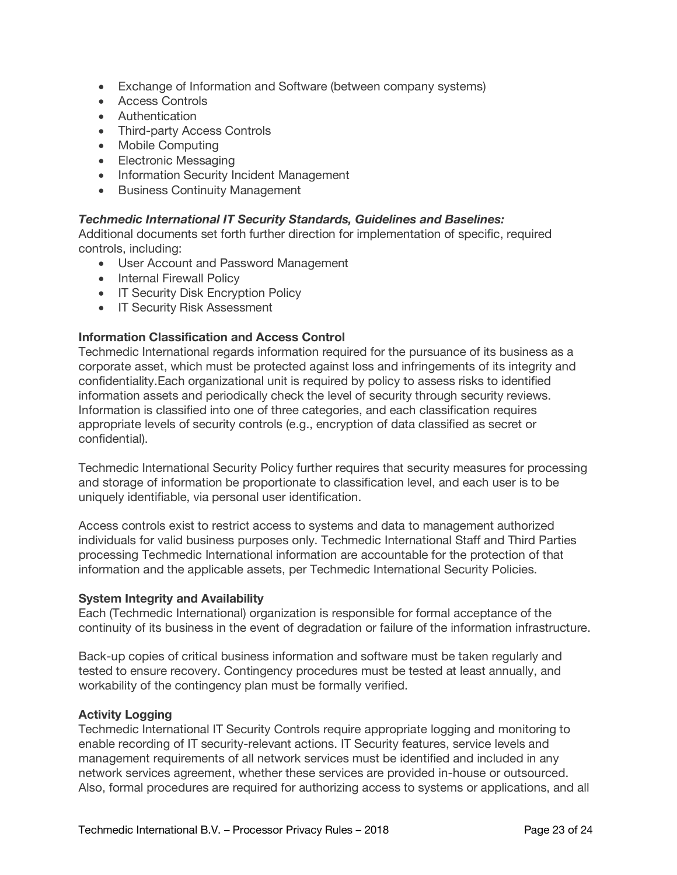- Exchange of Information and Software (between company systems)
- Access Controls
- Authentication
- Third-party Access Controls
- Mobile Computing
- Electronic Messaging
- Information Security Incident Management
- Business Continuity Management

#### *Techmedic International IT Security Standards, Guidelines and Baselines:*

Additional documents set forth further direction for implementation of specific, required controls, including:

- User Account and Password Management
- Internal Firewall Policy
- IT Security Disk Encryption Policy
- IT Security Risk Assessment

#### **Information Classification and Access Control**

Techmedic International regards information required for the pursuance of its business as a corporate asset, which must be protected against loss and infringements of its integrity and confidentiality.Each organizational unit is required by policy to assess risks to identified information assets and periodically check the level of security through security reviews. Information is classified into one of three categories, and each classification requires appropriate levels of security controls (e.g., encryption of data classified as secret or confidential).

Techmedic International Security Policy further requires that security measures for processing and storage of information be proportionate to classification level, and each user is to be uniquely identifiable, via personal user identification.

Access controls exist to restrict access to systems and data to management authorized individuals for valid business purposes only. Techmedic International Staff and Third Parties processing Techmedic International information are accountable for the protection of that information and the applicable assets, per Techmedic International Security Policies.

#### **System Integrity and Availability**

Each (Techmedic International) organization is responsible for formal acceptance of the continuity of its business in the event of degradation or failure of the information infrastructure.

Back-up copies of critical business information and software must be taken regularly and tested to ensure recovery. Contingency procedures must be tested at least annually, and workability of the contingency plan must be formally verified.

#### **Activity Logging**

Techmedic International IT Security Controls require appropriate logging and monitoring to enable recording of IT security-relevant actions. IT Security features, service levels and management requirements of all network services must be identified and included in any network services agreement, whether these services are provided in-house or outsourced. Also, formal procedures are required for authorizing access to systems or applications, and all